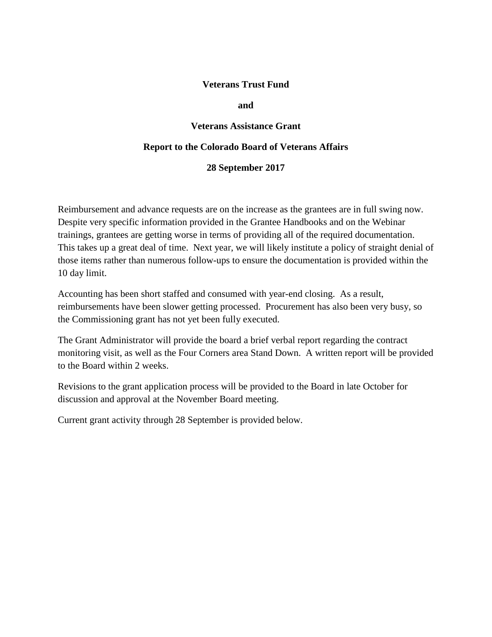## **Veterans Trust Fund**

#### **and**

### **Veterans Assistance Grant**

#### **Report to the Colorado Board of Veterans Affairs**

#### **28 September 2017**

Reimbursement and advance requests are on the increase as the grantees are in full swing now. Despite very specific information provided in the Grantee Handbooks and on the Webinar trainings, grantees are getting worse in terms of providing all of the required documentation. This takes up a great deal of time. Next year, we will likely institute a policy of straight denial of those items rather than numerous follow-ups to ensure the documentation is provided within the 10 day limit.

Accounting has been short staffed and consumed with year-end closing. As a result, reimbursements have been slower getting processed. Procurement has also been very busy, so the Commissioning grant has not yet been fully executed.

The Grant Administrator will provide the board a brief verbal report regarding the contract monitoring visit, as well as the Four Corners area Stand Down. A written report will be provided to the Board within 2 weeks.

Revisions to the grant application process will be provided to the Board in late October for discussion and approval at the November Board meeting.

Current grant activity through 28 September is provided below.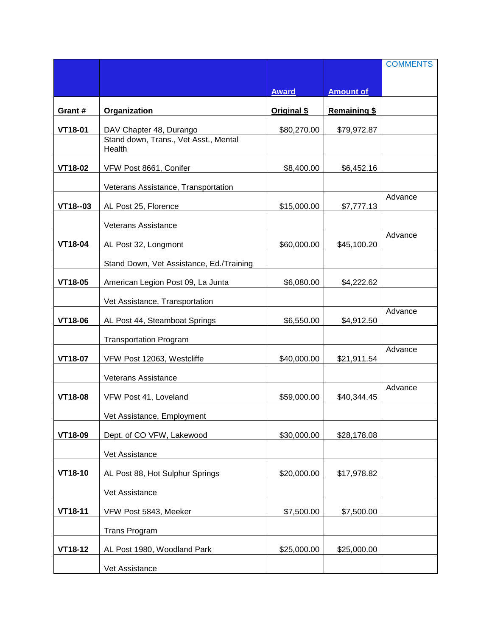|                |                                                 |              |                  | <b>COMMENTS</b> |
|----------------|-------------------------------------------------|--------------|------------------|-----------------|
|                |                                                 |              |                  |                 |
|                |                                                 | <b>Award</b> | <b>Amount of</b> |                 |
| Grant #        | Organization                                    | Original \$  | Remaining \$     |                 |
| VT18-01        | DAV Chapter 48, Durango                         | \$80,270.00  | \$79,972.87      |                 |
|                | Stand down, Trans., Vet Asst., Mental<br>Health |              |                  |                 |
| VT18-02        | VFW Post 8661, Conifer                          | \$8,400.00   | \$6,452.16       |                 |
|                | Veterans Assistance, Transportation             |              |                  |                 |
| VT18--03       | AL Post 25, Florence                            | \$15,000.00  | \$7,777.13       | Advance         |
|                | Veterans Assistance                             |              |                  |                 |
| VT18-04        | AL Post 32, Longmont                            | \$60,000.00  | \$45,100.20      | Advance         |
|                | Stand Down, Vet Assistance, Ed./Training        |              |                  |                 |
| VT18-05        | American Legion Post 09, La Junta               | \$6,080.00   | \$4,222.62       |                 |
|                | Vet Assistance, Transportation                  |              |                  |                 |
| VT18-06        | AL Post 44, Steamboat Springs                   | \$6,550.00   | \$4,912.50       | Advance         |
|                | <b>Transportation Program</b>                   |              |                  |                 |
| VT18-07        | VFW Post 12063, Westcliffe                      | \$40,000.00  | \$21,911.54      | Advance         |
|                | <b>Veterans Assistance</b>                      |              |                  |                 |
| <b>VT18-08</b> | VFW Post 41, Loveland                           | \$59,000.00  | \$40,344.45      | Advance         |
|                | Vet Assistance, Employment                      |              |                  |                 |
| VT18-09        | Dept. of CO VFW, Lakewood                       | \$30,000.00  | \$28,178.08      |                 |
|                | Vet Assistance                                  |              |                  |                 |
| VT18-10        | AL Post 88, Hot Sulphur Springs                 | \$20,000.00  | \$17,978.82      |                 |
|                | Vet Assistance                                  |              |                  |                 |
| VT18-11        | VFW Post 5843, Meeker                           | \$7,500.00   | \$7,500.00       |                 |
|                | <b>Trans Program</b>                            |              |                  |                 |
| VT18-12        | AL Post 1980, Woodland Park                     | \$25,000.00  | \$25,000.00      |                 |
|                | Vet Assistance                                  |              |                  |                 |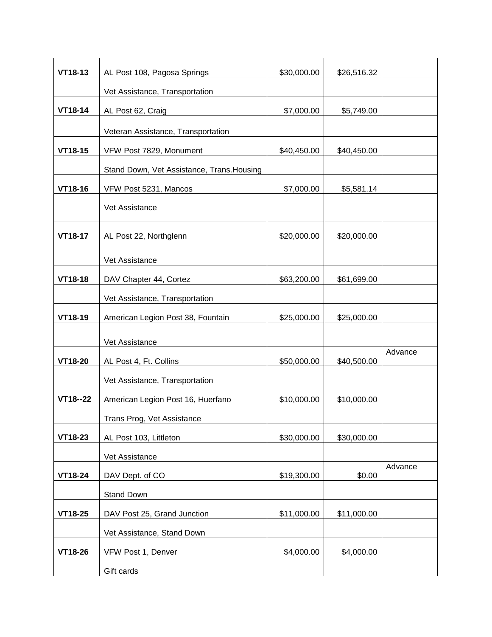| VT18-13     | AL Post 108, Pagosa Springs                | \$30,000.00 | \$26,516.32 |         |
|-------------|--------------------------------------------|-------------|-------------|---------|
|             | Vet Assistance, Transportation             |             |             |         |
| VT18-14     | AL Post 62, Craig                          | \$7,000.00  | \$5,749.00  |         |
|             | Veteran Assistance, Transportation         |             |             |         |
| VT18-15     | VFW Post 7829, Monument                    | \$40,450.00 | \$40,450.00 |         |
|             | Stand Down, Vet Assistance, Trans. Housing |             |             |         |
| VT18-16     | VFW Post 5231, Mancos                      | \$7,000.00  | \$5,581.14  |         |
|             | Vet Assistance                             |             |             |         |
| VT18-17     | AL Post 22, Northglenn                     | \$20,000.00 | \$20,000.00 |         |
|             | Vet Assistance                             |             |             |         |
| VT18-18     | DAV Chapter 44, Cortez                     | \$63,200.00 | \$61,699.00 |         |
|             | Vet Assistance, Transportation             |             |             |         |
| VT18-19     | American Legion Post 38, Fountain          | \$25,000.00 | \$25,000.00 |         |
|             | Vet Assistance                             |             |             |         |
| VT18-20     | AL Post 4, Ft. Collins                     | \$50,000.00 | \$40,500.00 | Advance |
|             | Vet Assistance, Transportation             |             |             |         |
| $VT18 - 22$ | American Legion Post 16, Huerfano          | \$10,000.00 | \$10,000.00 |         |
|             | Trans Prog, Vet Assistance                 |             |             |         |
| VT18-23     | AL Post 103, Littleton                     | \$30,000.00 | \$30,000.00 |         |
|             | Vet Assistance                             |             |             |         |
| VT18-24     | DAV Dept. of CO                            | \$19,300.00 | \$0.00      | Advance |
|             | Stand Down                                 |             |             |         |
| VT18-25     | DAV Post 25, Grand Junction                | \$11,000.00 | \$11,000.00 |         |
|             | Vet Assistance, Stand Down                 |             |             |         |
| VT18-26     | VFW Post 1, Denver                         | \$4,000.00  | \$4,000.00  |         |
|             | Gift cards                                 |             |             |         |